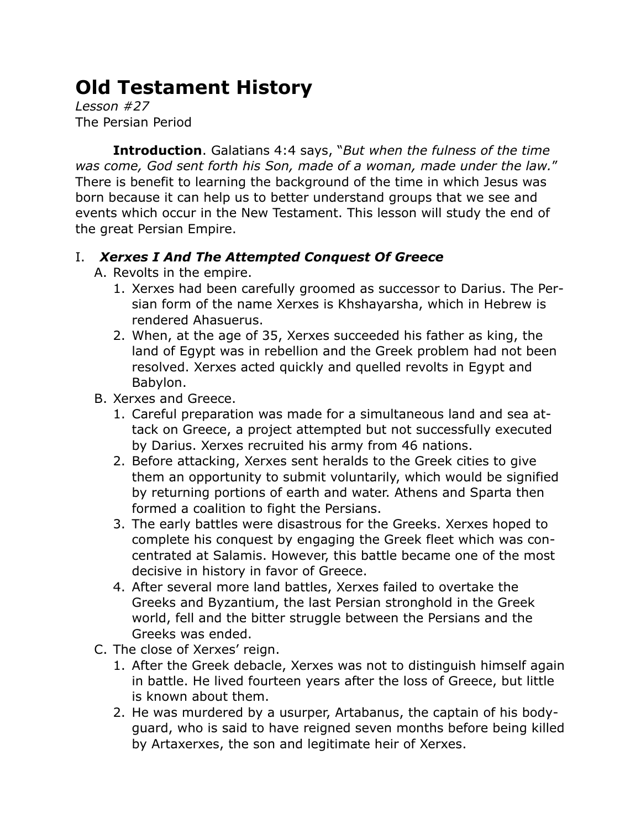# **Old Testament History**

*Lesson #27* The Persian Period

**Introduction**. Galatians 4:4 says, "*But when the fulness of the time was come, God sent forth his Son, made of a woman, made under the law.*" There is benefit to learning the background of the time in which Jesus was born because it can help us to better understand groups that we see and events which occur in the New Testament. This lesson will study the end of the great Persian Empire.

## I. *Xerxes I And The Attempted Conquest Of Greece*

- A. Revolts in the empire.
	- 1. Xerxes had been carefully groomed as successor to Darius. The Persian form of the name Xerxes is Khshayarsha, which in Hebrew is rendered Ahasuerus.
	- 2. When, at the age of 35, Xerxes succeeded his father as king, the land of Egypt was in rebellion and the Greek problem had not been resolved. Xerxes acted quickly and quelled revolts in Egypt and Babylon.
- B. Xerxes and Greece.
	- 1. Careful preparation was made for a simultaneous land and sea attack on Greece, a project attempted but not successfully executed by Darius. Xerxes recruited his army from 46 nations.
	- 2. Before attacking, Xerxes sent heralds to the Greek cities to give them an opportunity to submit voluntarily, which would be signified by returning portions of earth and water. Athens and Sparta then formed a coalition to fight the Persians.
	- 3. The early battles were disastrous for the Greeks. Xerxes hoped to complete his conquest by engaging the Greek fleet which was concentrated at Salamis. However, this battle became one of the most decisive in history in favor of Greece.
	- 4. After several more land battles, Xerxes failed to overtake the Greeks and Byzantium, the last Persian stronghold in the Greek world, fell and the bitter struggle between the Persians and the Greeks was ended.
- C. The close of Xerxes' reign.
	- 1. After the Greek debacle, Xerxes was not to distinguish himself again in battle. He lived fourteen years after the loss of Greece, but little is known about them.
	- 2. He was murdered by a usurper, Artabanus, the captain of his bodyguard, who is said to have reigned seven months before being killed by Artaxerxes, the son and legitimate heir of Xerxes.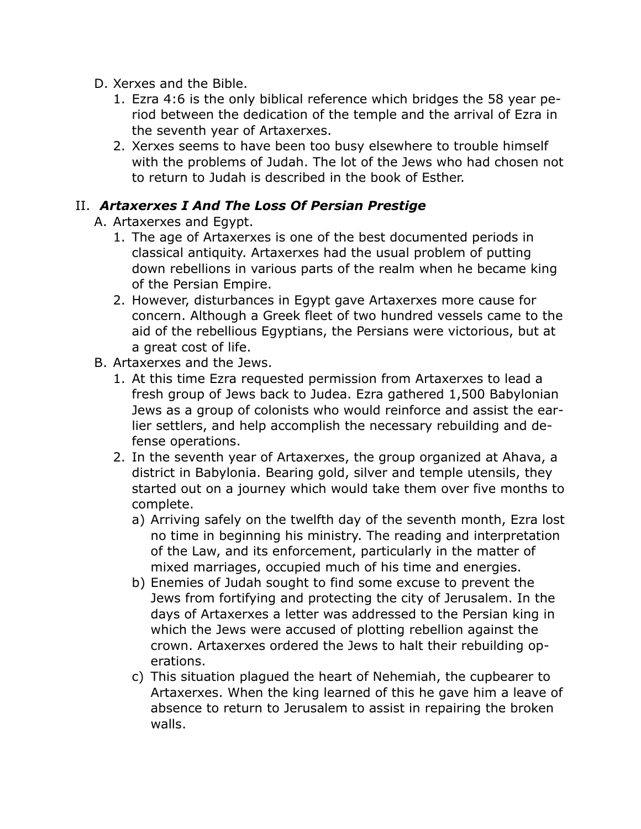- D. Xerxes and the Bible.
	- 1. Ezra 4:6 is the only biblical reference which bridges the 58 year period between the dedication of the temple and the arrival of Ezra in the seventh year of Artaxerxes.
	- 2. Xerxes seems to have been too busy elsewhere to trouble himself with the problems of Judah. The lot of the Jews who had chosen not to return to Judah is described in the book of Esther.

#### II. *Artaxerxes I And The Loss Of Persian Prestige*

- A. Artaxerxes and Egypt.
	- 1. The age of Artaxerxes is one of the best documented periods in classical antiquity. Artaxerxes had the usual problem of putting down rebellions in various parts of the realm when he became king of the Persian Empire.
	- 2. However, disturbances in Egypt gave Artaxerxes more cause for concern. Although a Greek fleet of two hundred vessels came to the aid of the rebellious Egyptians, the Persians were victorious, but at a great cost of life.
- B. Artaxerxes and the Jews.
	- 1. At this time Ezra requested permission from Artaxerxes to lead a fresh group of Jews back to Judea. Ezra gathered 1,500 Babylonian Jews as a group of colonists who would reinforce and assist the earlier settlers, and help accomplish the necessary rebuilding and defense operations.
	- 2. In the seventh year of Artaxerxes, the group organized at Ahava, a district in Babylonia. Bearing gold, silver and temple utensils, they started out on a journey which would take them over five months to complete.
		- a) Arriving safely on the twelfth day of the seventh month, Ezra lost no time in beginning his ministry. The reading and interpretation of the Law, and its enforcement, particularly in the matter of mixed marriages, occupied much of his time and energies.
		- b) Enemies of Judah sought to find some excuse to prevent the Jews from fortifying and protecting the city of Jerusalem. In the days of Artaxerxes a letter was addressed to the Persian king in which the Jews were accused of plotting rebellion against the crown. Artaxerxes ordered the Jews to halt their rebuilding operations.
		- c) This situation plagued the heart of Nehemiah, the cupbearer to Artaxerxes. When the king learned of this he gave him a leave of absence to return to Jerusalem to assist in repairing the broken walls.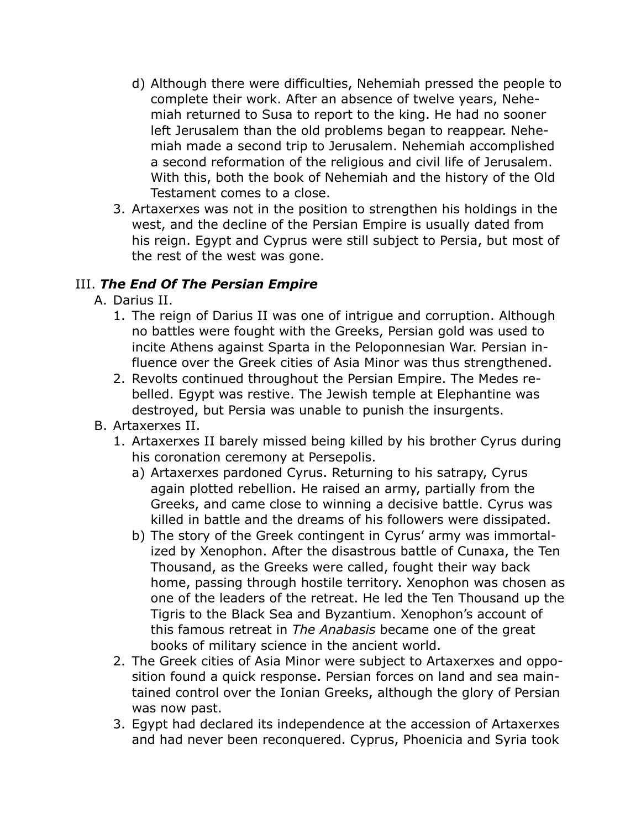- d) Although there were difficulties, Nehemiah pressed the people to complete their work. After an absence of twelve years, Nehemiah returned to Susa to report to the king. He had no sooner left Jerusalem than the old problems began to reappear. Nehemiah made a second trip to Jerusalem. Nehemiah accomplished a second reformation of the religious and civil life of Jerusalem. With this, both the book of Nehemiah and the history of the Old Testament comes to a close.
- 3. Artaxerxes was not in the position to strengthen his holdings in the west, and the decline of the Persian Empire is usually dated from his reign. Egypt and Cyprus were still subject to Persia, but most of the rest of the west was gone.

### III. *The End Of The Persian Empire*

- A. Darius II.
	- 1. The reign of Darius II was one of intrigue and corruption. Although no battles were fought with the Greeks, Persian gold was used to incite Athens against Sparta in the Peloponnesian War. Persian influence over the Greek cities of Asia Minor was thus strengthened.
	- 2. Revolts continued throughout the Persian Empire. The Medes rebelled. Egypt was restive. The Jewish temple at Elephantine was destroyed, but Persia was unable to punish the insurgents.
- B. Artaxerxes II.
	- 1. Artaxerxes II barely missed being killed by his brother Cyrus during his coronation ceremony at Persepolis.
		- a) Artaxerxes pardoned Cyrus. Returning to his satrapy, Cyrus again plotted rebellion. He raised an army, partially from the Greeks, and came close to winning a decisive battle. Cyrus was killed in battle and the dreams of his followers were dissipated.
		- b) The story of the Greek contingent in Cyrus' army was immortalized by Xenophon. After the disastrous battle of Cunaxa, the Ten Thousand, as the Greeks were called, fought their way back home, passing through hostile territory. Xenophon was chosen as one of the leaders of the retreat. He led the Ten Thousand up the Tigris to the Black Sea and Byzantium. Xenophon's account of this famous retreat in *The Anabasis* became one of the great books of military science in the ancient world.
	- 2. The Greek cities of Asia Minor were subject to Artaxerxes and opposition found a quick response. Persian forces on land and sea maintained control over the Ionian Greeks, although the glory of Persian was now past.
	- 3. Egypt had declared its independence at the accession of Artaxerxes and had never been reconquered. Cyprus, Phoenicia and Syria took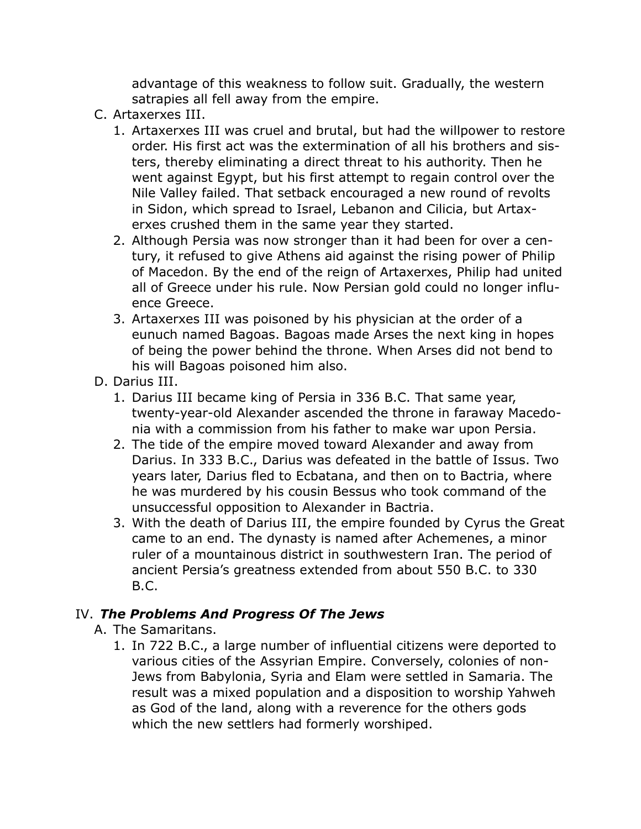advantage of this weakness to follow suit. Gradually, the western satrapies all fell away from the empire.

- C. Artaxerxes III.
	- 1. Artaxerxes III was cruel and brutal, but had the willpower to restore order. His first act was the extermination of all his brothers and sisters, thereby eliminating a direct threat to his authority. Then he went against Egypt, but his first attempt to regain control over the Nile Valley failed. That setback encouraged a new round of revolts in Sidon, which spread to Israel, Lebanon and Cilicia, but Artaxerxes crushed them in the same year they started.
	- 2. Although Persia was now stronger than it had been for over a century, it refused to give Athens aid against the rising power of Philip of Macedon. By the end of the reign of Artaxerxes, Philip had united all of Greece under his rule. Now Persian gold could no longer influence Greece.
	- 3. Artaxerxes III was poisoned by his physician at the order of a eunuch named Bagoas. Bagoas made Arses the next king in hopes of being the power behind the throne. When Arses did not bend to his will Bagoas poisoned him also.
- D. Darius III.
	- 1. Darius III became king of Persia in 336 B.C. That same year, twenty-year-old Alexander ascended the throne in faraway Macedonia with a commission from his father to make war upon Persia.
	- 2. The tide of the empire moved toward Alexander and away from Darius. In 333 B.C., Darius was defeated in the battle of Issus. Two years later, Darius fled to Ecbatana, and then on to Bactria, where he was murdered by his cousin Bessus who took command of the unsuccessful opposition to Alexander in Bactria.
	- 3. With the death of Darius III, the empire founded by Cyrus the Great came to an end. The dynasty is named after Achemenes, a minor ruler of a mountainous district in southwestern Iran. The period of ancient Persia's greatness extended from about 550 B.C. to 330 B.C.

## IV. *The Problems And Progress Of The Jews*

- A. The Samaritans.
	- 1. In 722 B.C., a large number of influential citizens were deported to various cities of the Assyrian Empire. Conversely, colonies of non-Jews from Babylonia, Syria and Elam were settled in Samaria. The result was a mixed population and a disposition to worship Yahweh as God of the land, along with a reverence for the others gods which the new settlers had formerly worshiped.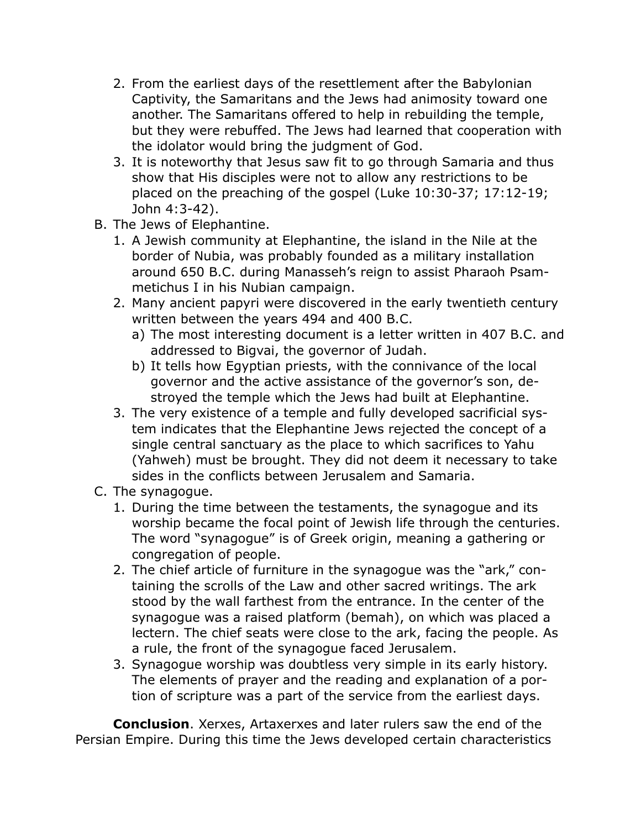- 2. From the earliest days of the resettlement after the Babylonian Captivity, the Samaritans and the Jews had animosity toward one another. The Samaritans offered to help in rebuilding the temple, but they were rebuffed. The Jews had learned that cooperation with the idolator would bring the judgment of God.
- 3. It is noteworthy that Jesus saw fit to go through Samaria and thus show that His disciples were not to allow any restrictions to be placed on the preaching of the gospel (Luke 10:30-37; 17:12-19; John 4:3-42).
- B. The Jews of Elephantine.
	- 1. A Jewish community at Elephantine, the island in the Nile at the border of Nubia, was probably founded as a military installation around 650 B.C. during Manasseh's reign to assist Pharaoh Psammetichus I in his Nubian campaign.
	- 2. Many ancient papyri were discovered in the early twentieth century written between the years 494 and 400 B.C.
		- a) The most interesting document is a letter written in 407 B.C. and addressed to Bigvai, the governor of Judah.
		- b) It tells how Egyptian priests, with the connivance of the local governor and the active assistance of the governor's son, destroyed the temple which the Jews had built at Elephantine.
	- 3. The very existence of a temple and fully developed sacrificial system indicates that the Elephantine Jews rejected the concept of a single central sanctuary as the place to which sacrifices to Yahu (Yahweh) must be brought. They did not deem it necessary to take sides in the conflicts between Jerusalem and Samaria.
- C. The synagogue.
	- 1. During the time between the testaments, the synagogue and its worship became the focal point of Jewish life through the centuries. The word "synagogue" is of Greek origin, meaning a gathering or congregation of people.
	- 2. The chief article of furniture in the synagogue was the "ark," containing the scrolls of the Law and other sacred writings. The ark stood by the wall farthest from the entrance. In the center of the synagogue was a raised platform (bemah), on which was placed a lectern. The chief seats were close to the ark, facing the people. As a rule, the front of the synagogue faced Jerusalem.
	- 3. Synagogue worship was doubtless very simple in its early history. The elements of prayer and the reading and explanation of a portion of scripture was a part of the service from the earliest days.

**Conclusion**. Xerxes, Artaxerxes and later rulers saw the end of the Persian Empire. During this time the Jews developed certain characteristics